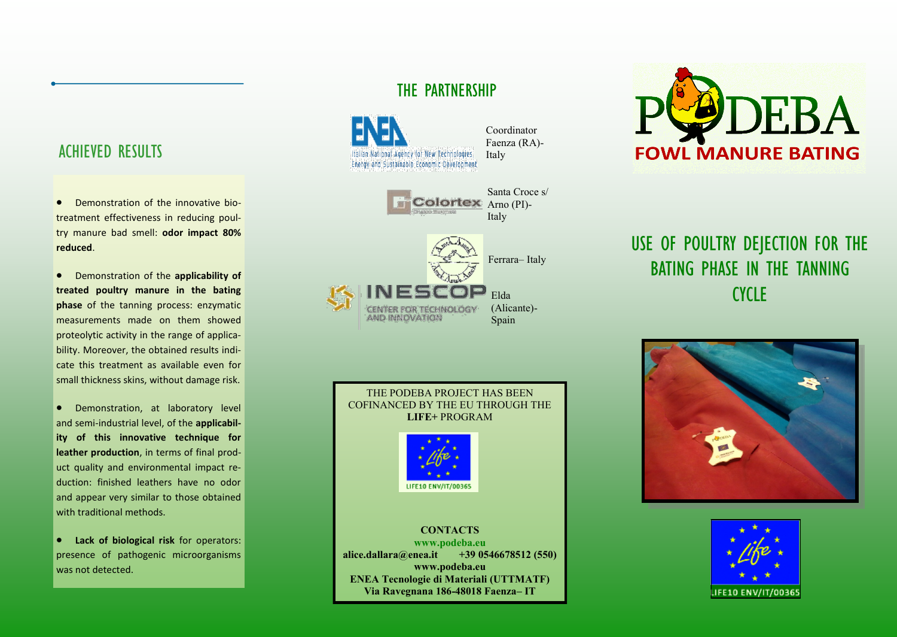## ACHIEVED RESULTS

- Demonstration of the innovative biotreatment effectiveness in reducing poultry manure bad smell: **odor impact 80% reduced**.
- Demonstration of the **applicability of treated poultry manure in the bating phase** of the tanning process: enzymatic measurements made on them showed proteolytic activity in the range of applicability. Moreover, the obtained results indicate this treatment as available even for small thickness skins, without damage risk.
- Demonstration, at laboratory level and semi-industrial level, of the **applicability of this innovative technique for leather production**, in terms of final product quality and environmental impact reduction: finished leathers have no odor and appear very similar to those obtained with traditional methods.
- **Lack of biological risk** for operators: presence of pathogenic microorganisms was not detected.

## THE PARTNERSHIP



Coordinator Faenza (RA)-



### THE PODEBA PROJECT HAS BEEN COFINANCED BY THE EU THROUGH THE **LIFE+** PROGRAM



#### **CONTACTS**

**www.podeba.eu alice.dallara@enea.it +39 0546678512 (550) www.podeba.eu ENEA Tecnologie di Materiali (UTTMATF) Via Ravegnana 186-48018 Faenza– IT**



# USE OF POULTRY DEJECTION FOR THE BATING PHASE IN THE TANNING CYCLE<sub></sub>